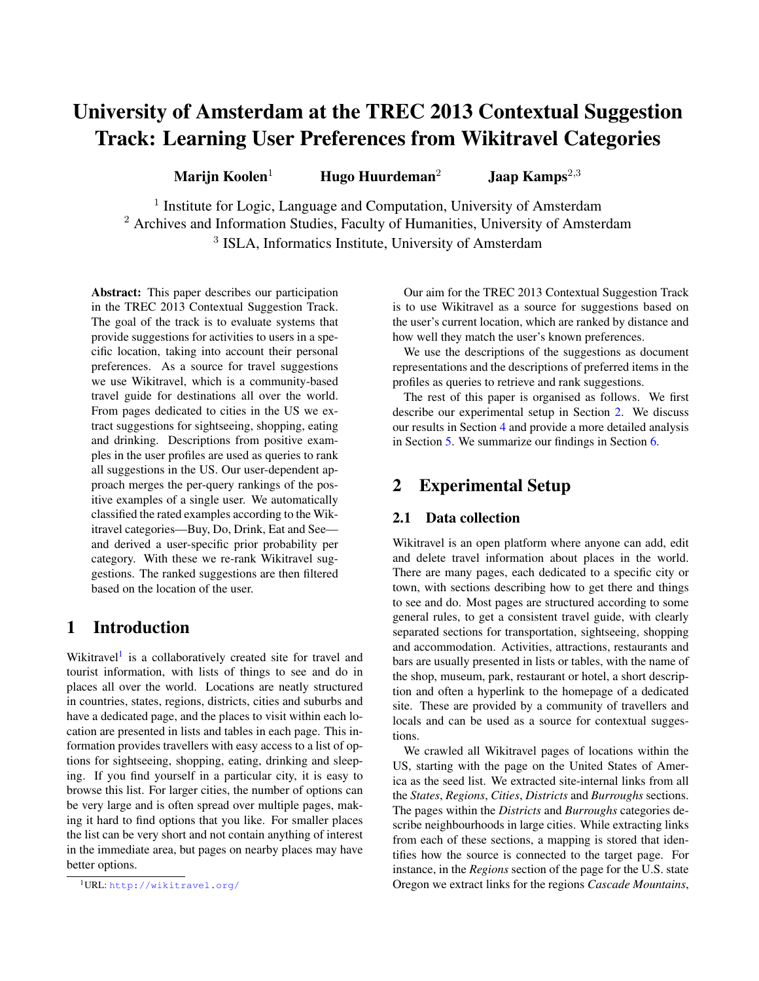# University of Amsterdam at the TREC 2013 Contextual Suggestion Track: Learning User Preferences from Wikitravel Categories

Marijn Koolen<sup>1</sup> Hugo Huurdeman<sup>2</sup> Jaap Kamps<sup>2,3</sup>

<sup>1</sup> Institute for Logic, Language and Computation, University of Amsterdam <sup>2</sup> Archives and Information Studies, Faculty of Humanities, University of Amsterdam <sup>3</sup> ISLA, Informatics Institute, University of Amsterdam

Abstract: This paper describes our participation in the TREC 2013 Contextual Suggestion Track. The goal of the track is to evaluate systems that provide suggestions for activities to users in a specific location, taking into account their personal preferences. As a source for travel suggestions we use Wikitravel, which is a community-based travel guide for destinations all over the world. From pages dedicated to cities in the US we extract suggestions for sightseeing, shopping, eating and drinking. Descriptions from positive examples in the user profiles are used as queries to rank all suggestions in the US. Our user-dependent approach merges the per-query rankings of the positive examples of a single user. We automatically classified the rated examples according to the Wikitravel categories—Buy, Do, Drink, Eat and See and derived a user-specific prior probability per category. With these we re-rank Wikitravel suggestions. The ranked suggestions are then filtered based on the location of the user.

### 1 Introduction

Wikitravel<sup>[1](#page-0-0)</sup> is a collaboratively created site for travel and tourist information, with lists of things to see and do in places all over the world. Locations are neatly structured in countries, states, regions, districts, cities and suburbs and have a dedicated page, and the places to visit within each location are presented in lists and tables in each page. This information provides travellers with easy access to a list of options for sightseeing, shopping, eating, drinking and sleeping. If you find yourself in a particular city, it is easy to browse this list. For larger cities, the number of options can be very large and is often spread over multiple pages, making it hard to find options that you like. For smaller places the list can be very short and not contain anything of interest in the immediate area, but pages on nearby places may have better options.

Our aim for the TREC 2013 Contextual Suggestion Track is to use Wikitravel as a source for suggestions based on the user's current location, which are ranked by distance and how well they match the user's known preferences.

We use the descriptions of the suggestions as document representations and the descriptions of preferred items in the profiles as queries to retrieve and rank suggestions.

The rest of this paper is organised as follows. We first describe our experimental setup in Section [2.](#page-0-1) We discuss our results in Section [4](#page-2-0) and provide a more detailed analysis in Section [5.](#page-3-0) We summarize our findings in Section [6.](#page-4-0)

### <span id="page-0-1"></span>2 Experimental Setup

### 2.1 Data collection

Wikitravel is an open platform where anyone can add, edit and delete travel information about places in the world. There are many pages, each dedicated to a specific city or town, with sections describing how to get there and things to see and do. Most pages are structured according to some general rules, to get a consistent travel guide, with clearly separated sections for transportation, sightseeing, shopping and accommodation. Activities, attractions, restaurants and bars are usually presented in lists or tables, with the name of the shop, museum, park, restaurant or hotel, a short description and often a hyperlink to the homepage of a dedicated site. These are provided by a community of travellers and locals and can be used as a source for contextual suggestions.

We crawled all Wikitravel pages of locations within the US, starting with the page on the United States of America as the seed list. We extracted site-internal links from all the *States*, *Regions*, *Cities*, *Districts* and *Burroughs* sections. The pages within the *Districts* and *Burroughs* categories describe neighbourhoods in large cities. While extracting links from each of these sections, a mapping is stored that identifies how the source is connected to the target page. For instance, in the *Regions* section of the page for the U.S. state Oregon we extract links for the regions *Cascade Mountains*,

<span id="page-0-0"></span><sup>1</sup>URL: <http://wikitravel.org/>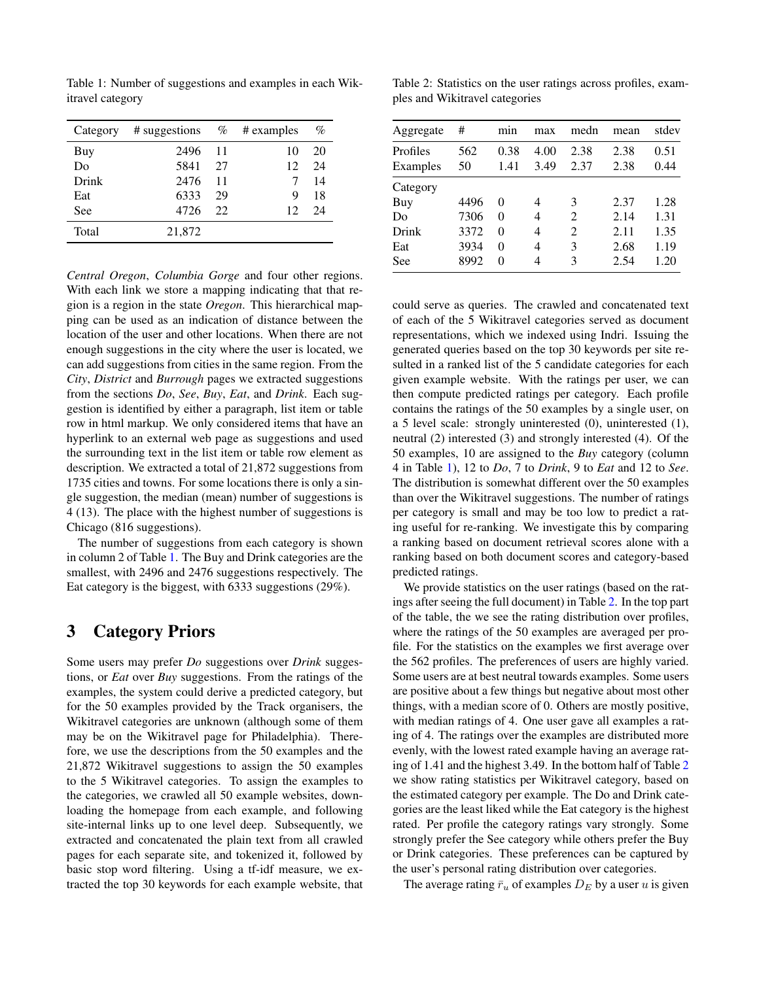Category # suggestions  $\%$  # examples  $\%$ Buy 2496 11 10 20 Do 5841 27 12 24 Drink 2476 11 7 14 Eat 6333 29 9 18 See 4726 22 12 24 Total 21,872

<span id="page-1-0"></span>Table 1: Number of suggestions and examples in each Wikitravel category

*Central Oregon*, *Columbia Gorge* and four other regions. With each link we store a mapping indicating that that region is a region in the state *Oregon*. This hierarchical mapping can be used as an indication of distance between the location of the user and other locations. When there are not enough suggestions in the city where the user is located, we can add suggestions from cities in the same region. From the *City*, *District* and *Burrough* pages we extracted suggestions from the sections *Do*, *See*, *Buy*, *Eat*, and *Drink*. Each suggestion is identified by either a paragraph, list item or table row in html markup. We only considered items that have an hyperlink to an external web page as suggestions and used the surrounding text in the list item or table row element as description. We extracted a total of 21,872 suggestions from 1735 cities and towns. For some locations there is only a single suggestion, the median (mean) number of suggestions is 4 (13). The place with the highest number of suggestions is Chicago (816 suggestions).

The number of suggestions from each category is shown in column 2 of Table [1.](#page-1-0) The Buy and Drink categories are the smallest, with 2496 and 2476 suggestions respectively. The Eat category is the biggest, with 6333 suggestions (29%).

### 3 Category Priors

Some users may prefer *Do* suggestions over *Drink* suggestions, or *Eat* over *Buy* suggestions. From the ratings of the examples, the system could derive a predicted category, but for the 50 examples provided by the Track organisers, the Wikitravel categories are unknown (although some of them may be on the Wikitravel page for Philadelphia). Therefore, we use the descriptions from the 50 examples and the 21,872 Wikitravel suggestions to assign the 50 examples to the 5 Wikitravel categories. To assign the examples to the categories, we crawled all 50 example websites, downloading the homepage from each example, and following site-internal links up to one level deep. Subsequently, we extracted and concatenated the plain text from all crawled pages for each separate site, and tokenized it, followed by basic stop word filtering. Using a tf-idf measure, we extracted the top 30 keywords for each example website, that

<span id="page-1-1"></span>Table 2: Statistics on the user ratings across profiles, examples and Wikitravel categories

| Aggregate            | #         | mnn          | max          | medn           | mean         | stdev        |
|----------------------|-----------|--------------|--------------|----------------|--------------|--------------|
| Profiles<br>Examples | 562<br>50 | 0.38<br>1.41 | 4.00<br>3.49 | 2.38<br>2.37   | 2.38<br>2.38 | 0.51<br>0.44 |
| Category             |           |              |              |                |              |              |
| Buy                  | 4496      | 0            | 4            | 3              | 2.37         | 1.28         |
| Do                   | 7306      | 0            | 4            | $\mathfrak{D}$ | 2.14         | 1.31         |
| Drink                | 3372      | 0            | 4            | 2              | 2.11         | 1.35         |
| Eat                  | 3934      | 0            | 4            | 3              | 2.68         | 1.19         |
| See                  | 8992      | 0            | 4            | 3              | 2.54         | 1.20         |

could serve as queries. The crawled and concatenated text of each of the 5 Wikitravel categories served as document representations, which we indexed using Indri. Issuing the generated queries based on the top 30 keywords per site resulted in a ranked list of the 5 candidate categories for each given example website. With the ratings per user, we can then compute predicted ratings per category. Each profile contains the ratings of the 50 examples by a single user, on a 5 level scale: strongly uninterested (0), uninterested (1), neutral (2) interested (3) and strongly interested (4). Of the 50 examples, 10 are assigned to the *Buy* category (column 4 in Table [1\)](#page-1-0), 12 to *Do*, 7 to *Drink*, 9 to *Eat* and 12 to *See*. The distribution is somewhat different over the 50 examples than over the Wikitravel suggestions. The number of ratings per category is small and may be too low to predict a rating useful for re-ranking. We investigate this by comparing a ranking based on document retrieval scores alone with a ranking based on both document scores and category-based predicted ratings.

We provide statistics on the user ratings (based on the ratings after seeing the full document) in Table [2.](#page-1-1) In the top part of the table, the we see the rating distribution over profiles, where the ratings of the 50 examples are averaged per profile. For the statistics on the examples we first average over the 562 profiles. The preferences of users are highly varied. Some users are at best neutral towards examples. Some users are positive about a few things but negative about most other things, with a median score of 0. Others are mostly positive, with median ratings of 4. One user gave all examples a rating of 4. The ratings over the examples are distributed more evenly, with the lowest rated example having an average rating of 1.41 and the highest 3.49. In the bottom half of Table [2](#page-1-1) we show rating statistics per Wikitravel category, based on the estimated category per example. The Do and Drink categories are the least liked while the Eat category is the highest rated. Per profile the category ratings vary strongly. Some strongly prefer the See category while others prefer the Buy or Drink categories. These preferences can be captured by the user's personal rating distribution over categories.

The average rating  $\bar{r}_u$  of examples  $D_E$  by a user u is given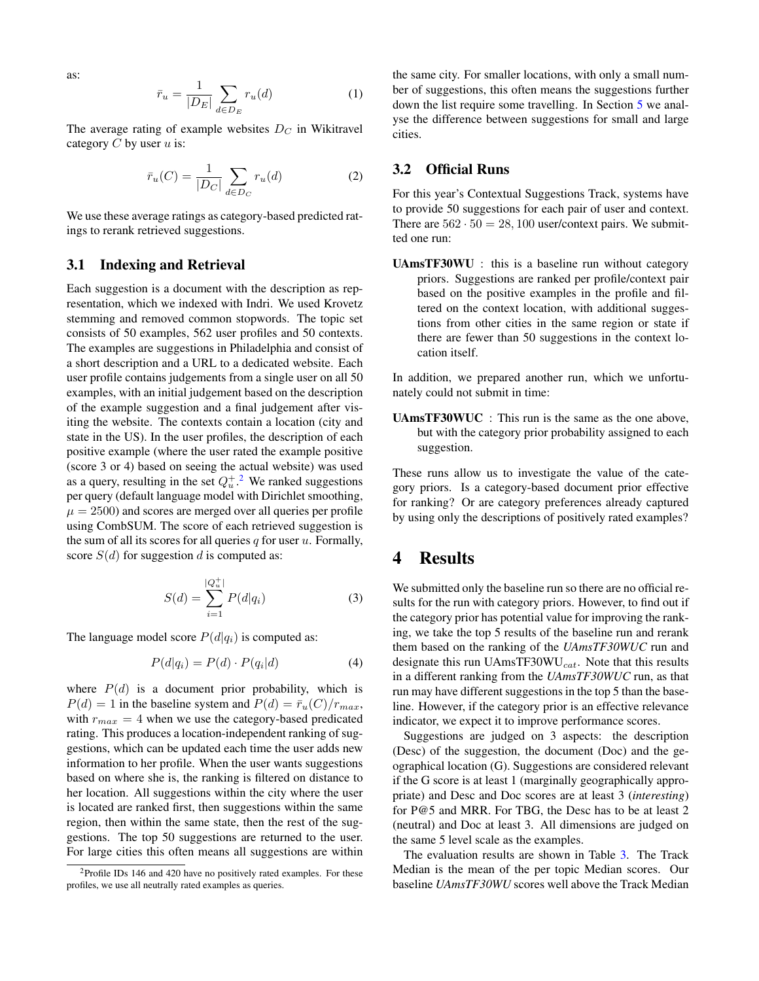as:

$$
\bar{r}_u = \frac{1}{|D_E|} \sum_{d \in D_E} r_u(d) \tag{1}
$$

The average rating of example websites  $D<sub>C</sub>$  in Wikitravel category  $C$  by user  $u$  is:

$$
\bar{r}_u(C) = \frac{1}{|D_C|} \sum_{d \in D_C} r_u(d) \tag{2}
$$

We use these average ratings as category-based predicted ratings to rerank retrieved suggestions.

#### 3.1 Indexing and Retrieval

Each suggestion is a document with the description as representation, which we indexed with Indri. We used Krovetz stemming and removed common stopwords. The topic set consists of 50 examples, 562 user profiles and 50 contexts. The examples are suggestions in Philadelphia and consist of a short description and a URL to a dedicated website. Each user profile contains judgements from a single user on all 50 examples, with an initial judgement based on the description of the example suggestion and a final judgement after visiting the website. The contexts contain a location (city and state in the US). In the user profiles, the description of each positive example (where the user rated the example positive (score 3 or 4) based on seeing the actual website) was used as a query, resulting in the set  $Q_u^+$ .<sup>[2](#page-2-1)</sup> We ranked suggestions per query (default language model with Dirichlet smoothing,  $\mu = 2500$ ) and scores are merged over all queries per profile using CombSUM. The score of each retrieved suggestion is the sum of all its scores for all queries  $q$  for user  $u$ . Formally, score  $S(d)$  for suggestion d is computed as:

$$
S(d) = \sum_{i=1}^{|Q_u^+|} P(d|q_i)
$$
 (3)

The language model score  $P(d|q_i)$  is computed as:

$$
P(d|q_i) = P(d) \cdot P(q_i|d) \tag{4}
$$

where  $P(d)$  is a document prior probability, which is  $P(d) = 1$  in the baseline system and  $P(d) = \bar{r}_u(C)/r_{max}$ , with  $r_{max} = 4$  when we use the category-based predicated rating. This produces a location-independent ranking of suggestions, which can be updated each time the user adds new information to her profile. When the user wants suggestions based on where she is, the ranking is filtered on distance to her location. All suggestions within the city where the user is located are ranked first, then suggestions within the same region, then within the same state, then the rest of the suggestions. The top 50 suggestions are returned to the user. For large cities this often means all suggestions are within

the same city. For smaller locations, with only a small number of suggestions, this often means the suggestions further down the list require some travelling. In Section [5](#page-3-0) we analyse the difference between suggestions for small and large cities.

#### 3.2 Official Runs

For this year's Contextual Suggestions Track, systems have to provide 50 suggestions for each pair of user and context. There are  $562 \cdot 50 = 28,100$  user/context pairs. We submitted one run:

UAmsTF30WU : this is a baseline run without category priors. Suggestions are ranked per profile/context pair based on the positive examples in the profile and filtered on the context location, with additional suggestions from other cities in the same region or state if there are fewer than 50 suggestions in the context location itself.

In addition, we prepared another run, which we unfortunately could not submit in time:

UAmsTF30WUC : This run is the same as the one above, but with the category prior probability assigned to each suggestion.

These runs allow us to investigate the value of the category priors. Is a category-based document prior effective for ranking? Or are category preferences already captured by using only the descriptions of positively rated examples?

### <span id="page-2-0"></span>4 Results

We submitted only the baseline run so there are no official results for the run with category priors. However, to find out if the category prior has potential value for improving the ranking, we take the top 5 results of the baseline run and rerank them based on the ranking of the *UAmsTF30WUC* run and designate this run UAmsTF30WU $_{cat}$ . Note that this results in a different ranking from the *UAmsTF30WUC* run, as that run may have different suggestions in the top 5 than the baseline. However, if the category prior is an effective relevance indicator, we expect it to improve performance scores.

Suggestions are judged on 3 aspects: the description (Desc) of the suggestion, the document (Doc) and the geographical location (G). Suggestions are considered relevant if the G score is at least 1 (marginally geographically appropriate) and Desc and Doc scores are at least 3 (*interesting*) for P@5 and MRR. For TBG, the Desc has to be at least 2 (neutral) and Doc at least 3. All dimensions are judged on the same 5 level scale as the examples.

The evaluation results are shown in Table [3.](#page-3-1) The Track Median is the mean of the per topic Median scores. Our baseline *UAmsTF30WU* scores well above the Track Median

<span id="page-2-1"></span><sup>&</sup>lt;sup>2</sup>Profile IDs 146 and 420 have no positively rated examples. For these profiles, we use all neutrally rated examples as queries.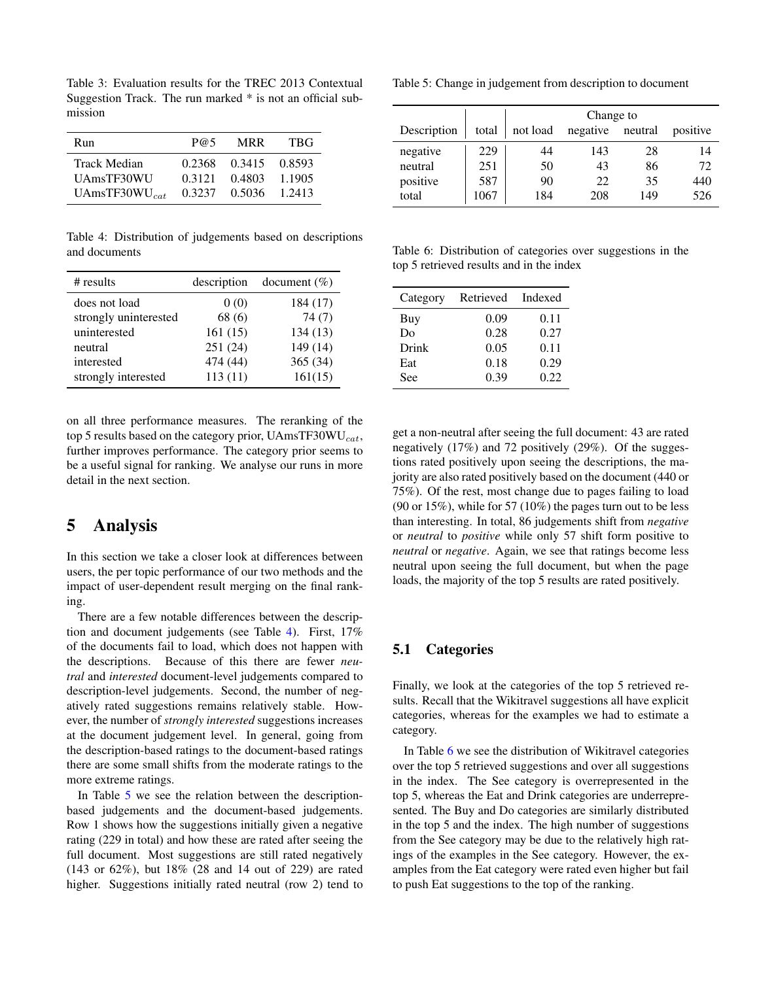<span id="page-3-1"></span>Table 3: Evaluation results for the TREC 2013 Contextual Suggestion Track. The run marked \* is not an official submission

| Run                 | P@5    | <b>MRR</b> | <b>TBG</b> |
|---------------------|--------|------------|------------|
| Track Median        | 0.2368 | 0.3415     | 0.8593     |
| UAmsTF30WU          | 0.3121 | 0.4803     | 1.1905     |
| UAmsTF30WU $_{cat}$ | 0.3237 | 0.5036     | 1 2413     |

<span id="page-3-2"></span>Table 4: Distribution of judgements based on descriptions and documents

| # results             | description | document $(\% )$ |
|-----------------------|-------------|------------------|
| does not load         | 0(0)        | 184 (17)         |
| strongly uninterested | 68(6)       | 74(7)            |
| uninterested          | 161(15)     | 134(13)          |
| neutral               | 251 (24)    | 149 (14)         |
| interested            | 474 (44)    | 365 (34)         |
| strongly interested   | 113(11)     | 161(15)          |

on all three performance measures. The reranking of the top 5 results based on the category prior, UAmsTF30WU $_{cat}$ , further improves performance. The category prior seems to be a useful signal for ranking. We analyse our runs in more detail in the next section.

### <span id="page-3-0"></span>5 Analysis

In this section we take a closer look at differences between users, the per topic performance of our two methods and the impact of user-dependent result merging on the final ranking.

There are a few notable differences between the description and document judgements (see Table [4\)](#page-3-2). First, 17% of the documents fail to load, which does not happen with the descriptions. Because of this there are fewer *neutral* and *interested* document-level judgements compared to description-level judgements. Second, the number of negatively rated suggestions remains relatively stable. However, the number of *strongly interested* suggestions increases at the document judgement level. In general, going from the description-based ratings to the document-based ratings there are some small shifts from the moderate ratings to the more extreme ratings.

In Table [5](#page-3-3) we see the relation between the descriptionbased judgements and the document-based judgements. Row 1 shows how the suggestions initially given a negative rating (229 in total) and how these are rated after seeing the full document. Most suggestions are still rated negatively (143 or 62%), but 18% (28 and 14 out of 229) are rated higher. Suggestions initially rated neutral (row 2) tend to

<span id="page-3-3"></span>Table 5: Change in judgement from description to document

|             |       | Change to |                  |     |          |
|-------------|-------|-----------|------------------|-----|----------|
| Description | total | not load  | negative neutral |     | positive |
| negative    | 229   | 44        | 143              | 28  | 14       |
| neutral     | 251   | 50        | 43               | 86  | 72       |
| positive    | 587   | 90        | 22               | 35  | 440      |
| total       | 1067  | 184       | 208              | 149 | 526      |

<span id="page-3-4"></span>Table 6: Distribution of categories over suggestions in the top 5 retrieved results and in the index

| Category | Retrieved | Indexed |
|----------|-----------|---------|
| Buy      | 0.09      | 0.11    |
| Do       | 0.28      | 0.27    |
| Drink    | 0.05      | 0.11    |
| Eat      | 0.18      | 0.29    |
| See      | 0.39      | 0.22    |

get a non-neutral after seeing the full document: 43 are rated negatively (17%) and 72 positively (29%). Of the suggestions rated positively upon seeing the descriptions, the majority are also rated positively based on the document (440 or 75%). Of the rest, most change due to pages failing to load (90 or 15%), while for 57 (10%) the pages turn out to be less than interesting. In total, 86 judgements shift from *negative* or *neutral* to *positive* while only 57 shift form positive to *neutral* or *negative*. Again, we see that ratings become less neutral upon seeing the full document, but when the page loads, the majority of the top 5 results are rated positively.

#### 5.1 Categories

Finally, we look at the categories of the top 5 retrieved results. Recall that the Wikitravel suggestions all have explicit categories, whereas for the examples we had to estimate a category.

In Table [6](#page-3-4) we see the distribution of Wikitravel categories over the top 5 retrieved suggestions and over all suggestions in the index. The See category is overrepresented in the top 5, whereas the Eat and Drink categories are underrepresented. The Buy and Do categories are similarly distributed in the top 5 and the index. The high number of suggestions from the See category may be due to the relatively high ratings of the examples in the See category. However, the examples from the Eat category were rated even higher but fail to push Eat suggestions to the top of the ranking.